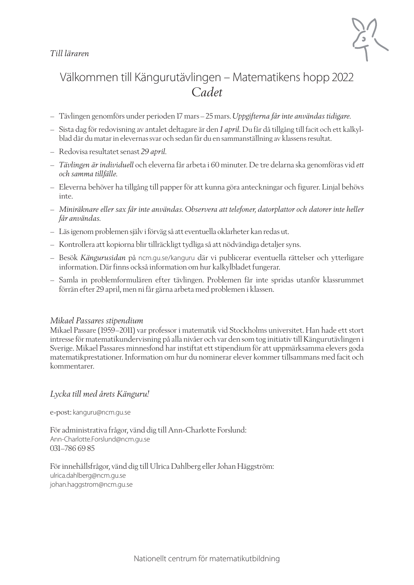### *Till läraren*



### Välkommen till Kängurutävlingen – Matematikens hopp 2022 *Cadet*

- Tävlingen genomförs under perioden 17 mars–25 mars. *Uppgifterna får inte användas tidigare*.
- Sista dag för redovisning av antalet deltagare är den *1 april.* Du får då tillgång till facit och ett kalkylblad där du matar in elevernas svar och sedan får du en sammanställning av klassens resultat.
- Redovisa resultatet senast *29 april.*
- *Tävlingen är individuell* och eleverna får arbeta i 60 minuter. De tre delarna ska genomföras vid *ett och samma tillfälle.*
- Eleverna behöver ha tillgång till papper för att kunna göra anteckningar och figurer. Linjal behövs inte.
- *Miniräknare eller sax får inte användas. Observera att telefoner, datorplattor och datorer inte heller får användas.*
- Läs igenom problemen själv i förväg så att eventuella oklarheter kan redas ut.
- Kontrollera att kopiorna blir tillräckligt tydliga så att nödvändiga detaljer syns.
- Besök *Kängurusidan* på ncm.gu.se/kanguru där vi publicerar eventuella rättelser och ytterligare information. Där finns också information om hur kalkylbladet fungerar.
- Samla in problemformulären efter tävlingen. Problemen får inte spridas utanför klassrummet förrän efter 29 april, men ni får gärna arbeta med problemen i klassen.

#### *Mikael Passares stipendium*

Mikael Passare (1959–2011) var professor i matematik vid Stockholms universitet. Han hade ett stort intresse för matematikundervisning på alla nivåer och var den som tog initiativ till Kängurutävlingen i Sverige. Mikael Passares minnesfond har instiftat ett stipendium för att uppmärksamma elevers goda matematikprestationer. Information om hur du nominerar elever kommer tillsammans med facit och kommentarer.

#### *Lycka till med årets Känguru!*

e-post: kanguru@ncm.gu.se

För administrativa frågor, vänd dig till Ann-Charlotte Forslund: Ann-Charlotte.Forslund@ncm.gu.se 031–786 69 85

För innehållsfrågor, vänd dig till Ulrica Dahlberg eller Johan Häggström: ulrica.dahlberg@ncm.gu.se johan.haggstrom@ncm.gu.se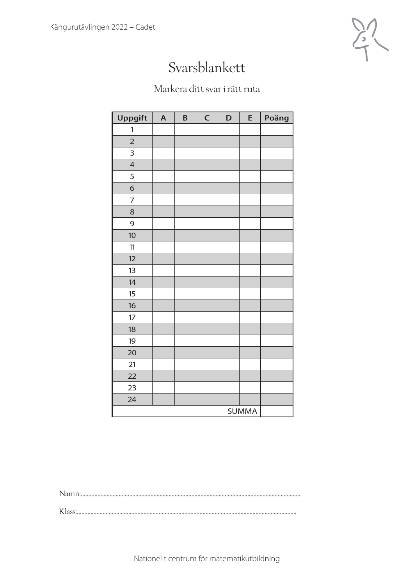

## Svarsblankett

### Markera ditt svar i rätt ruta

| <b>Uppgift</b> | $\boldsymbol{\mathsf{A}}$ | B | $\mathsf{C}$ | D | E            | Poäng |
|----------------|---------------------------|---|--------------|---|--------------|-------|
| 1              |                           |   |              |   |              |       |
| $\overline{2}$ |                           |   |              |   |              |       |
| 3              |                           |   |              |   |              |       |
| $\overline{4}$ |                           |   |              |   |              |       |
| 5              |                           |   |              |   |              |       |
| 6              |                           |   |              |   |              |       |
| $\overline{7}$ |                           |   |              |   |              |       |
| 8              |                           |   |              |   |              |       |
| 9              |                           |   |              |   |              |       |
| 10             |                           |   |              |   |              |       |
| 11             |                           |   |              |   |              |       |
| 12             |                           |   |              |   |              |       |
| 13             |                           |   |              |   |              |       |
| 14             |                           |   |              |   |              |       |
| 15             |                           |   |              |   |              |       |
| 16             |                           |   |              |   |              |       |
| 17             |                           |   |              |   |              |       |
| 18             |                           |   |              |   |              |       |
| 19             |                           |   |              |   |              |       |
| 20             |                           |   |              |   |              |       |
| 21             |                           |   |              |   |              |       |
| 22             |                           |   |              |   |              |       |
| 23             |                           |   |              |   |              |       |
| 24             |                           |   |              |   |              |       |
|                |                           |   |              |   | <b>SUMMA</b> |       |

Namn:.................................................................................................................................................

Klass:.................................................................................................................................................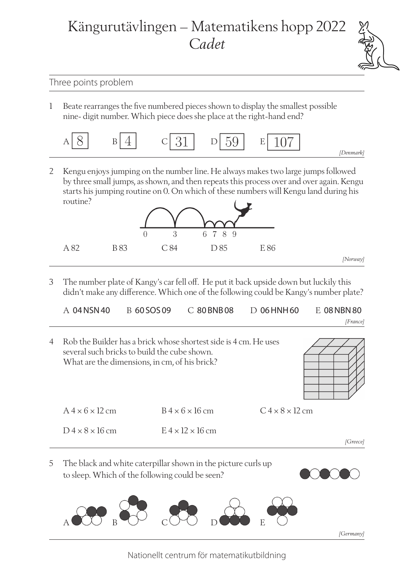# Kängurutävlingen – Matematikens hopp 2022 *Cadet*



### Three points problem

1 Beate rearranges the five numbered pieces shown to display the smallest possible nine- digit number. Which piece does she place at the right-hand end?

| $\overline{Q}$<br>$\check{ }$ | ÷ | $C \overline{31}$ $D \overline{59}$ | $\cup$ $\cup$ | E |  |
|-------------------------------|---|-------------------------------------|---------------|---|--|
|-------------------------------|---|-------------------------------------|---------------|---|--|

2 Kengu enjoys jumping on the number line. He always makes two large jumps followed by three small jumps, as shown, and then repeats this process over and over again. Kengu starts his jumping routine on 0. On which of these numbers will Kengu land during his routine?



3 The number plate of Kangy's car fell off. He put it back upside down but luckily this didn't make any difference. Which one of the following could be Kangy's number plate?

|  | $A$ 04 NSN 40 $B$ 60 SOS 09 $C$ 80 BNB 08 $D$ 06 HNH 60 $E$ 08 NBN 80 |          |
|--|-----------------------------------------------------------------------|----------|
|  |                                                                       | [France] |

5 The black and white caterpillar shown in the picture curls up to sleep. Which of the following could be seen? 4 Rob the Builder has a brick whose shortest side is 4 cm. He uses several such bricks to build the cube shown. What are the dimensions, in cm, of his brick?  $A 4 \times 6 \times 12$  cm  $B 4 \times 6 \times 16$  cm  $C 4 \times 8 \times 12$  cm  $D4 \times 8 \times 16$  cm  $E4 \times 12 \times 16$  cm *[Greece]*

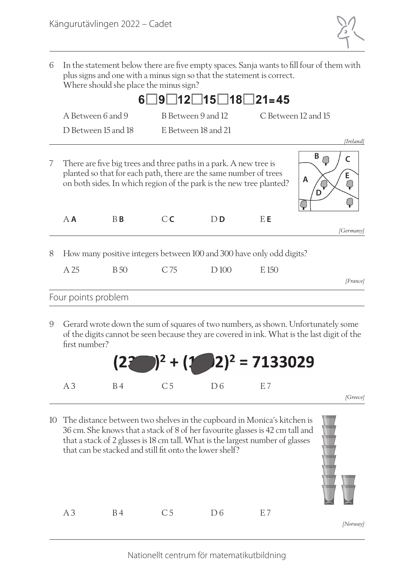

6 In the statement below there are five empty spaces. Sanja wants to fill four of them with plus signs and one with a minus sign so that the statement is correct. Where should she place the minus sign?

|   |                     |                     |                | $9$ 12 15 18 21=45                                                                                                                                                                                            |       |                                |
|---|---------------------|---------------------|----------------|---------------------------------------------------------------------------------------------------------------------------------------------------------------------------------------------------------------|-------|--------------------------------|
|   | A Between 6 and 9   |                     |                | B Between 9 and 12                                                                                                                                                                                            |       | C Between 12 and 15            |
|   |                     | D Between 15 and 18 |                | E Between 18 and 21                                                                                                                                                                                           |       |                                |
| 7 |                     |                     |                | There are five big trees and three paths in a park. A new tree is<br>planted so that for each path, there are the same number of trees<br>on both sides. In which region of the park is the new tree planted? |       | [Ireland]<br>B<br>$\mathsf{A}$ |
|   | $A$ $A$             | $B$ $B$             | C <sub>C</sub> | $D$ <b>D</b>                                                                                                                                                                                                  | E E   | [Germany]                      |
| 8 | A 25                | <b>B</b> 50         | C 75           | How many positive integers between 100 and 300 have only odd digits?<br>D 100                                                                                                                                 | E 150 |                                |
|   |                     |                     |                |                                                                                                                                                                                                               |       | [France]                       |
|   | Four points problem |                     |                |                                                                                                                                                                                                               |       |                                |

9 Gerard wrote down the sum of squares of two numbers, as shown. Unfortunately some of the digits cannot be seen because they are covered in ink. What is the last digit of the first number?



10 The distance between two shelves in the cupboard in Monica's kitchen is 36 cm. She knows that a stack of 8 of her favourite glasses is 42 cm tall and that a stack of 2 glasses is 18 cm tall. What is the largest number of glasses that can be stacked and still fit onto the lower shelf? A 3 B 4 C 5 D 6 E 7 *[Norway]*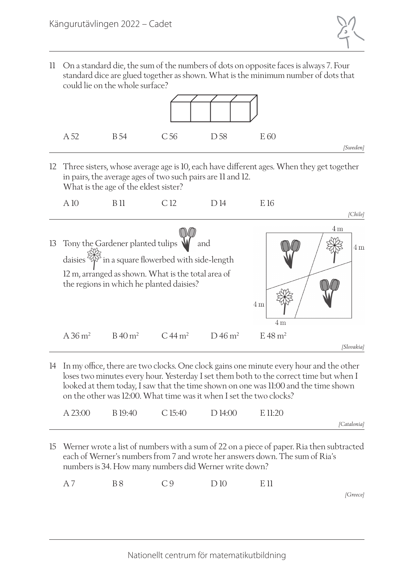

11 On a standard die, the sum of the numbers of dots on opposite faces is always 7. Four standard dice are glued together as shown. What is the minimum number of dots that could lie on the whole surface?



12 Three sisters, whose average age is 10, each have different ages. When they get together in pairs, the average ages of two such pairs are 11 and 12. What is the age of the eldest sister?



14 In my office, there are two clocks. One clock gains one minute every hour and the other loses two minutes every hour. Yesterday I set them both to the correct time but when I looked at them today, I saw that the time shown on one was 11:00 and the time shown on the other was 12:00. What time was it when I set the two clocks?

| A 23:00 | B 19:40 | C 15:40 | D 14:00 | E 11.20 |             |
|---------|---------|---------|---------|---------|-------------|
|         |         |         |         |         | [Catalonia] |

15 Werner wrote a list of numbers with a sum of 22 on a piece of paper. Ria then subtracted each of Werner's numbers from 7 and wrote her answers down. The sum of Ria's numbers is 34. How many numbers did Werner write down?

| A7 | <b>B</b> 8 | C <sub>9</sub> | D10 | E 11 |
|----|------------|----------------|-----|------|
|    |            |                |     |      |

*[Greece]*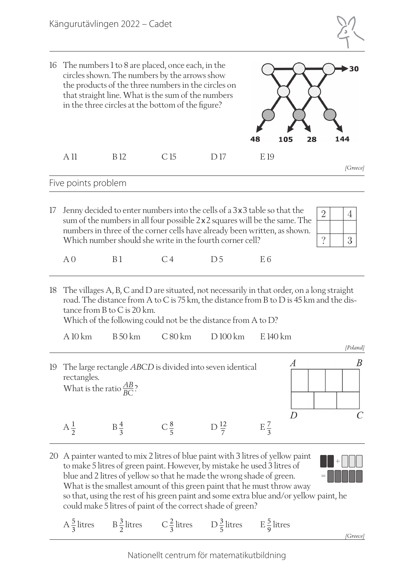



so that, using the rest of his green paint and some extra blue and/or yellow paint, he could make 5 litres of paint of the correct shade of green?

A  $\frac{5}{3}$  litres B  $\frac{3}{2}$  litres C  $\frac{2}{3}$  litres D  $\frac{3}{5}$  litres E  $\frac{5}{9}$  litres

*[Greece]*